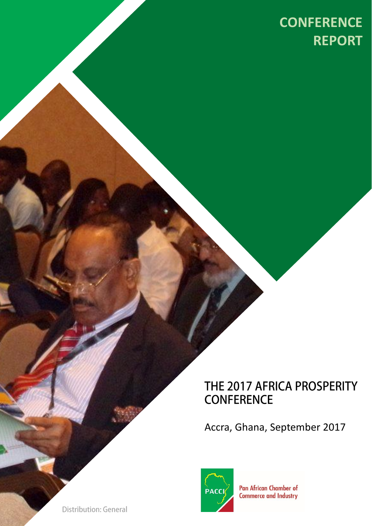# **CONFERENCE CONFERENCE REPORT**

### THE 2017 AFRICA PROSPERITY **CONFERENCE**

Accra, Ghana, September 2017



**Pan African Chamber of Commerce and Industry** 

**Distribution: General**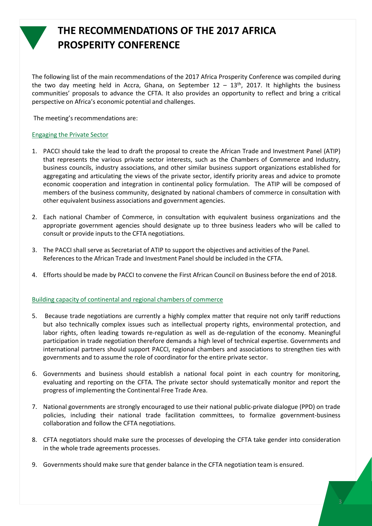

### **THE RECOMMENDATIONS OF THE 2017 AFRICA PROSPERITY CONFERENCE**

The following list of the main recommendations of the 2017 Africa Prosperity Conference was compiled during the two day meeting held in Accra, Ghana, on September 12 – 13<sup>th</sup>, 2017. It highlights the business communities' proposals to advance the CFTA. It also provides an opportunity to reflect and bring a critical perspective on Africa's economic potential and challenges.

The meeting's recommendations are:

#### Engaging the Private Sector

- 1. PACCI should take the lead to draft the proposal to create the African Trade and Investment Panel (ATIP) that represents the various private sector interests, such as the Chambers of Commerce and Industry, business councils, industry associations, and other similar business support organizations established for aggregating and articulating the views of the private sector, identify priority areas and advice to promote economic cooperation and integration in continental policy formulation. The ATIP will be composed of members of the business community, designated by national chambers of commerce in consultation with other equivalent business associations and government agencies.
- 2. Each national Chamber of Commerce, in consultation with equivalent business organizations and the appropriate government agencies should designate up to three business leaders who will be called to consult or provide inputs to the CFTA negotiations.
- 3. The PACCI shall serve as Secretariat of ATIP to support the objectives and activities of the Panel. References to the African Trade and Investment Panel should be included in the CFTA.
- 4. Efforts should be made by PACCI to convene the First African Council on Business before the end of 2018.

#### Building capacity of continental and regional chambers of commerce

- 5. Because trade negotiations are currently a highly complex matter that require not only tariff reductions but also technically complex issues such as intellectual property rights, environmental protection, and labor rights, often leading towards re-regulation as well as de-regulation of the economy. Meaningful participation in trade negotiation therefore demands a high level of technical expertise. Governments and international partners should support PACCI, regional chambers and associations to strengthen ties with governments and to assume the role of coordinator for the entire private sector.
- 6. Governments and business should establish a national focal point in each country for monitoring, evaluating and reporting on the CFTA. The private sector should systematically monitor and report the progress of implementing the Continental Free Trade Area.
- 7. National governments are strongly encouraged to use their national public-private dialogue (PPD) on trade policies, including their national trade facilitation committees, to formalize government-business collaboration and follow the CFTA negotiations.
- 8. CFTA negotiators should make sure the processes of developing the CFTA take gender into consideration in the whole trade agreements processes.
- 9. Governmentsshould make sure that gender balance in the CFTA negotiation team is ensured.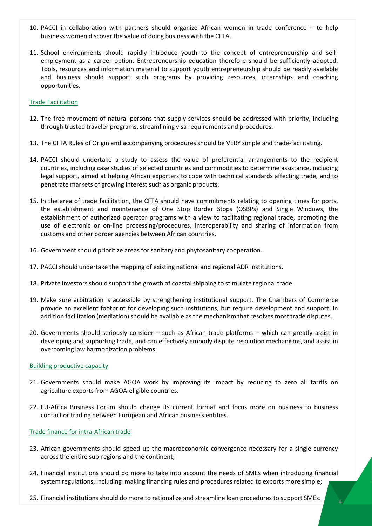- 10. PACCI in collaboration with partners should organize African women in trade conference to help business women discover the value of doing business with the CFTA.
- 11. School environments should rapidly introduce youth to the concept of entrepreneurship and selfemployment as a career option. Entrepreneurship education therefore should be sufficiently adopted. Tools, resources and information material to support youth entrepreneurship should be readily available and business should support such programs by providing resources, internships and coaching opportunities.

#### Trade Facilitation

- 12. The free movement of natural persons that supply services should be addressed with priority, including through trusted traveler programs, streamlining visa requirements and procedures.
- 13. The CFTA Rules of Origin and accompanying procedures should be VERY simple and trade-facilitating.
- 14. PACCI should undertake a study to assess the value of preferential arrangements to the recipient countries, including case studies of selected countries and commodities to determine assistance, including legal support, aimed at helping African exporters to cope with technical standards affecting trade, and to penetrate markets of growing interest such as organic products.
- 15. In the area of trade facilitation, the CFTA should have commitments relating to opening times for ports, the establishment and maintenance of One Stop Border Stops (OSBPs) and Single Windows, the establishment of authorized operator programs with a view to facilitating regional trade, promoting the use of electronic or on-line processing/procedures, interoperability and sharing of information from customs and other border agencies between African countries.
- 16. Government should prioritize areas for sanitary and phytosanitary cooperation.
- 17. PACCI should undertake the mapping of existing national and regional ADR institutions.
- 18. Private investors should support the growth of coastalshipping to stimulate regional trade.
- 19. Make sure arbitration is accessible by strengthening institutional support. The Chambers of Commerce provide an excellent footprint for developing such institutions, but require development and support. In addition facilitation (mediation) should be available as the mechanism that resolves most trade disputes.
- 20. Governments should seriously consider such as African trade platforms which can greatly assist in developing and supporting trade, and can effectively embody dispute resolution mechanisms, and assist in overcoming law harmonization problems.

#### Building productive capacity

- 21. Governments should make AGOA work by improving its impact by reducing to zero all tariffs on agriculture exports from AGOA-eligible countries.
- 22. EU-Africa Business Forum should change its current format and focus more on business to business contact or trading between European and African business entities.

#### Trade finance for intra-African trade

- 23. African governments should speed up the macroeconomic convergence necessary for a single currency across the entire sub-regions and the continent;
- 24. Financial institutions should do more to take into account the needs of SMEs when introducing financial system regulations, including making financing rules and procedures related to exports more simple;
- 25. Financial institutionsshould do more to rationalize and streamline loan procedures to support SMEs.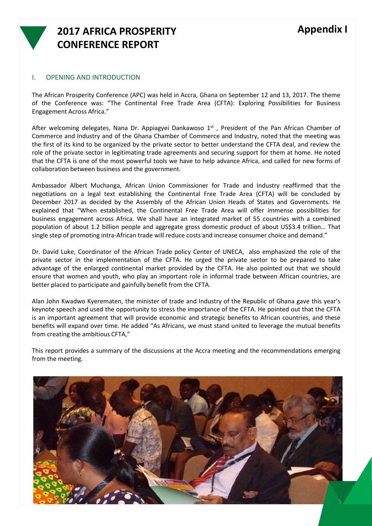

### **2017 AFRICA PROSPERITY CONFERENCE REPORT**

#### I. OPENING AND INTRODUCTION

The African Prosperity Conference (APC) was held in Accra, Ghana on September 12 and 13, 2017. The theme of the Conference was: "The Continental Free Trade Area (CFTA): Exploring Possibilities for Business Engagement Across Africa."

After welcoming delegates, Nana Dr. Appiagyei Dankawoso 1<sup>st</sup>, President of the Pan African Chamber of Commerce and Industry and of the Ghana Chamber of Commerce and Industry, noted that the meeting was the first of its kind to be organized by the private sector to better understand the CFTA deal, and review the role of the private sector in legitimating trade agreements and securing support for them at home. He noted that the CFTA is one of the most powerful tools we have to help advance Africa, and called for new forms of collaboration between business and the government.

Ambassador Albert Muchanga, African Union Commissioner for Trade and Industry reaffirmed that the negotiations on a legal text establishing the Continental Free Trade Area (CFTA) will be concluded by December 2017 as decided by the Assembly of the African Union Heads of States and Governments. He explained that "When established, the Continental Free Trade Area will offer immense possibilities for business engagement across Africa. We shall have an integrated market of 55 countries with a combined population of about 1.2 billion people and aggregate gross domestic product of about US\$3.4 trillion… That single step of promoting intra-African trade will reduce costs and increase consumer choice and demand."

Dr. David Luke, Coordinator of the African Trade policy Center of UNECA, also emphasized the role of the private sector in the implementation of the CFTA. He urged the private sector to be prepared to take advantage of the enlarged continental market provided by the CFTA. He also pointed out that we should ensure that women and youth, who play an important role in informal trade between African countries, are better placed to participate and gainfully benefit from the CFTA.

Alan John Kwadwo Kyerematen, the minister of trade and Industry of the Republic of Ghana gave this year's keynote speech and used the opportunity to stress the importance of the CFTA. He pointed out that the CFTA is an important agreement that will provide economic and strategic benefits to African countries, and these benefits will expand over time. He added "As Africans, we must stand united to leverage the mutual benefits from creating the ambitious CFTA,"

This report provides a summary of the discussions at the Accra meeting and the recommendations emerging from the meeting.

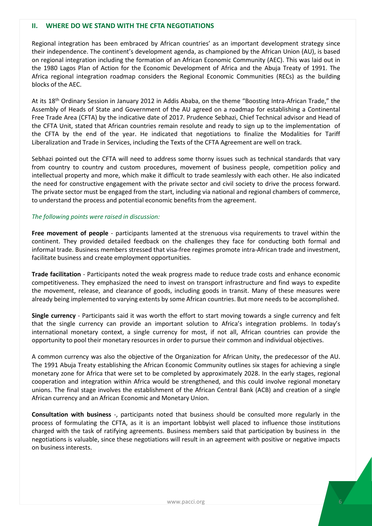#### **II. WHERE DO WE STAND WITH THE CFTA NEGOTIATIONS**

Regional integration has been embraced by African countries' as an important development strategy since their independence. The continent's development agenda, as championed by the African Union (AU), is based on regional integration including the formation of an African Economic Community (AEC). This was laid out in the 1980 Lagos Plan of Action for the Economic Development of Africa and the Abuja Treaty of 1991. The Africa regional integration roadmap considers the Regional Economic Communities (RECs) as the building blocks of the AEC.

At its 18<sup>th</sup> Ordinary Session in January 2012 in Addis Ababa, on the theme "Boosting Intra-African Trade," the Assembly of Heads of State and Government of the AU agreed on a roadmap for establishing a Continental Free Trade Area (CFTA) by the indicative date of 2017. Prudence Sebhazi, Chief Technical advisor and Head of the CFTA Unit, stated that African countries remain resolute and ready to sign up to the implementation of the CFTA by the end of the year. He indicated that negotiations to finalize the Modalities for Tariff Liberalization and Trade in Services, including the Texts of the CFTA Agreement are well on track.

Sebhazi pointed out the CFTA will need to address some thorny issues such as technical standards that vary from country to country and custom procedures, movement of business people, competition policy and intellectual property and more, which make it difficult to trade seamlessly with each other. He also indicated the need for constructive engagement with the private sector and civil society to drive the process forward. The private sector must be engaged from the start, including via national and regional chambers of commerce, to understand the process and potential economic benefits from the agreement.

#### *The following points were raised in discussion:*

**Free movement of people** - participants lamented at the strenuous visa requirements to travel within the continent. They provided detailed feedback on the challenges they face for conducting both formal and informal trade. Business members stressed that visa-free regimes promote intra-African trade and investment, facilitate business and create employment opportunities.

**Trade facilitation** - Participants noted the weak progress made to reduce trade costs and enhance economic competitiveness. They emphasized the need to invest on transport infrastructure and find ways to expedite the movement, release, and clearance of goods, including goods in transit. Many of these measures were already being implemented to varying extents by some African countries. But more needs to be accomplished.

**Single currency** - Participants said it was worth the effort to start moving towards a single currency and felt that the single currency can provide an important solution to Africa's integration problems. In today's international monetary context, a single currency for most, if not all, African countries can provide the opportunity to pool their monetary resources in order to pursue their common and individual objectives.

A common currency was also the objective of the Organization for African Unity, the predecessor of the AU. The 1991 Abuja Treaty establishing the African Economic Community outlines six stages for achieving a single monetary zone for Africa that were set to be completed by approximately 2028. In the early stages, regional cooperation and integration within Africa would be strengthened, and this could involve regional monetary unions. The final stage involves the establishment of the African Central Bank (ACB) and creation of a single African currency and an African Economic and Monetary Union.

**Consultation with business** -, participants noted that business should be consulted more regularly in the process of formulating the CFTA, as it is an important lobbyist well placed to influence those institutions charged with the task of ratifying agreements. Business members said that participation by business in the negotiations is valuable, since these negotiations will result in an agreement with positive or negative impacts on business interests.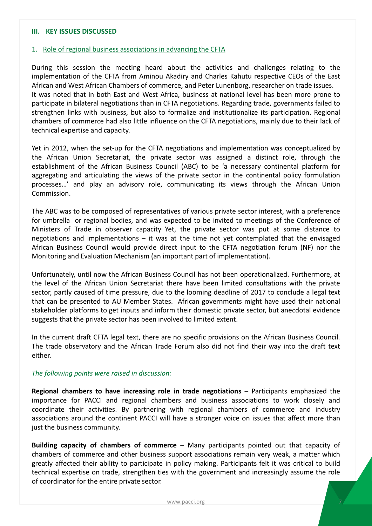#### **III. KEY ISSUES DISCUSSED**

#### 1. Role of regional business associations in advancing the CFTA

During this session the meeting heard about the activities and challenges relating to the implementation of the CFTA from Aminou Akadiry and Charles Kahutu respective CEOs of the East African and West African Chambers of commerce, and Peter Lunenborg, researcher on trade issues. It was noted that in both East and West Africa, business at national level has been more prone to participate in bilateral negotiations than in CFTA negotiations. Regarding trade, governments failed to strengthen links with business, but also to formalize and institutionalize its participation. Regional chambers of commerce had also little influence on the CFTA negotiations, mainly due to their lack of technical expertise and capacity.

Yet in 2012, when the set-up for the CFTA negotiations and implementation was conceptualized by the African Union Secretariat, the private sector was assigned a distinct role, through the establishment of the African Business Council (ABC) to be 'a necessary continental platform for aggregating and articulating the views of the private sector in the continental policy formulation processes…' and play an advisory role, communicating its views through the African Union Commission.

The ABC was to be composed of representatives of various private sector interest, with a preference for umbrella or regional bodies, and was expected to be invited to meetings of the Conference of Ministers of Trade in observer capacity. Yet, the private sector was put at some distance to negotiations and implementations – it was at the time not yet contemplated that the envisaged African Business Council would provide direct input to the CFTA negotiation forum (NF) nor the Monitoring and Evaluation Mechanism (an important part of implementation).

Unfortunately, until now the African Business Council has not been operationalized. Furthermore, at the level of the African Union Secretariat there have been limited consultations with the private sector, partly caused of time pressure, due to the looming deadline of 2017 to conclude a legal text that can be presented to AU Member States. African governments might have used their national stakeholder platforms to get inputs and inform their domestic private sector, but anecdotal evidence suggests that the private sector has been involved to limited extent.

In the current draft CFTA legal text, there are no specific provisions on the African Business Council. The trade observatory and the African Trade Forum also did not find their way into the draft text either.

#### *The following points were raised in discussion:*

**Regional chambers to have increasing role in trade negotiations** – Participants emphasized the importance for PACCI and regional chambers and business associations to work closely and coordinate their activities. By partnering with regional chambers of commerce and industry associations around the continent PACCI will have a stronger voice on issues that affect more than just the business community.

**Building capacity of chambers of commerce** – Many participants pointed out that capacity of chambers of commerce and other business support associations remain very weak, a matter which greatly affected their ability to participate in policy making. Participants felt it was critical to build technical expertise on trade, strengthen ties with the government and increasingly assume the role of coordinator for the entire private sector.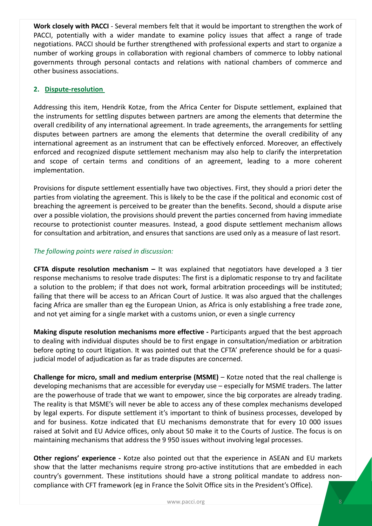**Work closely with PACCI** - Several members felt that it would be important to strengthen the work of PACCI, potentially with a wider mandate to examine policy issues that affect a range of trade negotiations. PACCI should be further strengthened with professional experts and start to organize a number of working groups in collaboration with regional chambers of commerce to lobby national governments through personal contacts and relations with national chambers of commerce and other business associations.

#### **2. Dispute-resolution**

Addressing this item, Hendrik Kotze, from the Africa Center for Dispute settlement, explained that the instruments for settling disputes between partners are among the elements that determine the overall credibility of any international agreement. In trade agreements, the arrangements for settling disputes between partners are among the elements that determine the overall credibility of any international agreement as an instrument that can be effectively enforced. Moreover, an effectively enforced and recognized dispute settlement mechanism may also help to clarify the interpretation and scope of certain terms and conditions of an agreement, leading to a more coherent implementation.

Provisions for dispute settlement essentially have two objectives. First, they should a priori deter the parties from violating the agreement. This is likely to be the case if the political and economic cost of breaching the agreement is perceived to be greater than the benefits. Second, should a dispute arise over a possible violation, the provisions should prevent the parties concerned from having immediate recourse to protectionist counter measures. Instead, a good dispute settlement mechanism allows for consultation and arbitration, and ensures that sanctions are used only as a measure of last resort.

#### *The following points were raised in discussion:*

**CFTA dispute resolution mechanism –** It was explained that negotiators have developed a 3 tier response mechanisms to resolve trade disputes: The first is a diplomatic response to try and facilitate a solution to the problem; if that does not work, formal arbitration proceedings will be instituted; failing that there will be access to an African Court of Justice. It was also argued that the challenges facing Africa are smaller than eg the European Union, as Africa is only establishing a free trade zone, and not yet aiming for a single market with a customs union, or even a single currency

**Making dispute resolution mechanisms more effective -** Participants argued that the best approach to dealing with individual disputes should be to first engage in consultation/mediation or arbitration before opting to court litigation. It was pointed out that the CFTA' preference should be for a quasijudicial model of adjudication as far as trade disputes are concerned.

**Challenge for micro, small and medium enterprise (MSME)** – Kotze noted that the real challenge is developing mechanisms that are accessible for everyday use – especially for MSME traders. The latter are the powerhouse of trade that we want to empower, since the big corporates are already trading. The reality is that MSME's will never be able to access any of these complex mechanisms developed by legal experts. For dispute settlement it's important to think of business processes, developed by and for business. Kotze indicated that EU mechanisms demonstrate that for every 10 000 issues raised at Solvit and EU Advice offices, only about 50 make it to the Courts of Justice. The focus is on maintaining mechanisms that address the 9 950 issues without involving legal processes.

**Other regions' experience -** Kotze also pointed out that the experience in ASEAN and EU markets show that the latter mechanisms require strong pro-active institutions that are embedded in each country's government. These institutions should have a strong political mandate to address noncompliance with CFT framework (eg in France the Solvit Office sits in the President's Office).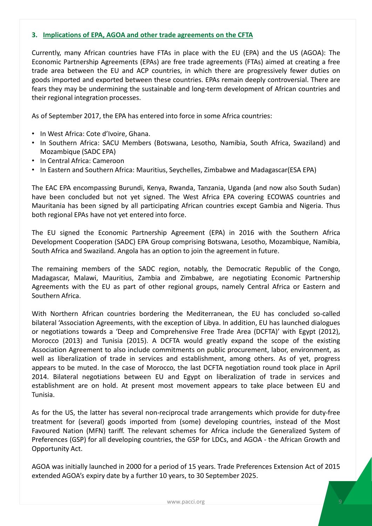#### **3. Implications of EPA, AGOA and other trade agreements on the CFTA**

Currently, many African countries have FTAs in place with the EU (EPA) and the US (AGOA): The Economic Partnership Agreements (EPAs) are free trade agreements (FTAs) aimed at creating a free trade area between the EU and ACP countries, in which there are progressively fewer duties on goods imported and exported between these countries. EPAs remain deeply controversial. There are fears they may be undermining the sustainable and long-term development of African countries and their regional integration processes.

As of September 2017, the EPA has entered into force in some Africa countries:

- In West Africa: Cote d'Ivoire, Ghana.
- In Southern Africa: SACU Members (Botswana, Lesotho, Namibia, South Africa, Swaziland) and Mozambique (SADC EPA)
- In Central Africa: Cameroon
- In Eastern and Southern Africa: Mauritius, Seychelles, Zimbabwe and Madagascar (ESA EPA)

The EAC EPA encompassing Burundi, Kenya, Rwanda, Tanzania, Uganda (and now also South Sudan) have been concluded but not yet signed. The West Africa EPA covering ECOWAS countries and Mauritania has been signed by all participating African countries except Gambia and Nigeria. Thus both regional EPAs have not yet entered into force.

The EU signed the Economic Partnership Agreement (EPA) in 2016 with the Southern Africa Development Cooperation (SADC) EPA Group comprising Botswana, Lesotho, Mozambique, Namibia, South Africa and Swaziland. Angola has an option to join the agreement in future.

The remaining members of the SADC region, notably, the Democratic Republic of the Congo, Madagascar, Malawi, Mauritius, Zambia and Zimbabwe, are negotiating Economic Partnership Agreements with the EU as part of other regional groups, namely Central Africa or Eastern and Southern Africa.

With Northern African countries bordering the Mediterranean, the EU has concluded so-called bilateral 'Association Agreements, with the exception of Libya. In addition, EU has launched dialogues or negotiations towards a 'Deep and Comprehensive Free Trade Area (DCFTA)' with Egypt (2012), Morocco (2013) and Tunisia (2015). A DCFTA would greatly expand the scope of the existing Association Agreement to also include commitments on public procurement, labor, environment, as well as liberalization of trade in services and establishment, among others. As of yet, progress appears to be muted. In the case of Morocco, the last DCFTA negotiation round took place in April 2014. Bilateral negotiations between EU and Egypt on liberalization of trade in services and establishment are on hold. At present most movement appears to take place between EU and Tunisia.

As for the US, the latter has several non-reciprocal trade arrangements which provide for duty-free treatment for (several) goods imported from (some) developing countries, instead of the Most Favoured Nation (MFN) tariff. The relevant schemes for Africa include the Generalized System of Preferences (GSP) for all developing countries, the GSP for LDCs, and AGOA - the African Growth and Opportunity Act.

AGOA was initially launched in 2000 for a period of 15 years. Trade Preferences Extension Act of 2015 extended AGOA's expiry date by a further 10 years, to 30 September 2025.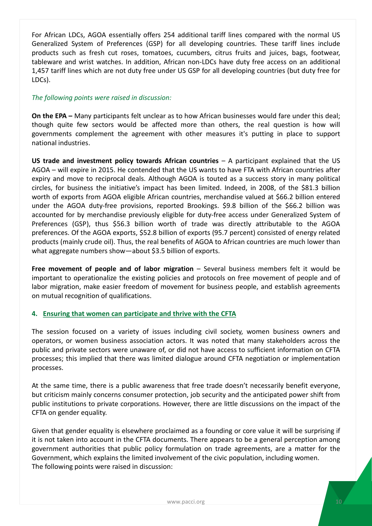For African LDCs, AGOA essentially offers 254 additional tariff lines compared with the normal US Generalized System of Preferences (GSP) for all developing countries. These tariff lines include products such as fresh cut roses, tomatoes, cucumbers, citrus fruits and juices, bags, footwear, tableware and wrist watches. In addition, African non-LDCs have duty free access on an additional 1,457 tariff lines which are not duty free under US GSP for all developing countries (but duty free for LDCs).

#### *The following points were raised in discussion:*

**On the EPA –** Many participants felt unclear as to how African businesses would fare under this deal; though quite few sectors would be affected more than others, the real question is how will governments complement the agreement with other measures it's putting in place to support national industries.

**US trade and investment policy towards African countries** – A participant explained that the US AGOA – will expire in 2015. He contended that the US wants to have FTA with African countries after expiry and move to reciprocal deals. Although AGOA is touted as a success story in many political circles, for business the initiative's impact has been limited. Indeed, in 2008, of the \$81.3 billion worth of exports from AGOA eligible African countries, merchandise valued at \$66.2 billion entered under the AGOA duty-free provisions, reported Brookings. \$9.8 billion of the \$66.2 billion was accounted for by merchandise previously eligible for duty-free access under Generalized System of Preferences (GSP), thus \$56.3 billion worth of trade was directly attributable to the AGOA preferences. Of the AGOA exports, \$52.8 billion of exports (95.7 percent) consisted of energy related products (mainly crude oil). Thus, the real benefits of AGOA to African countries are much lower than what aggregate numbers show—about \$3.5 billion of exports.

**Free movement of people and of labor migration** – Several business members felt it would be important to operationalize the existing policies and protocols on free movement of people and of labor migration, make easier freedom of movement for business people, and establish agreements on mutual recognition of qualifications.

#### **4. Ensuring that women can participate and thrive with the CFTA**

The session focused on a variety of issues including civil society, women business owners and operators, or women business association actors. It was noted that many stakeholders across the public and private sectors were unaware of, or did not have access to sufficient information on CFTA processes; this implied that there was limited dialogue around CFTA negotiation or implementation processes.

At the same time, there is a public awareness that free trade doesn't necessarily benefit everyone, but criticism mainly concerns consumer protection, job security and the anticipated power shift from public institutions to private corporations. However, there are little discussions on the impact of the CFTA on gender equality.

Given that gender equality is elsewhere proclaimed as a founding or core value it will be surprising if it is not taken into account in the CFTA documents. There appears to be a general perception among government authorities that public policy formulation on trade agreements, are a matter for the Government, which explains the limited involvement of the civic population, including women. The following points were raised in discussion: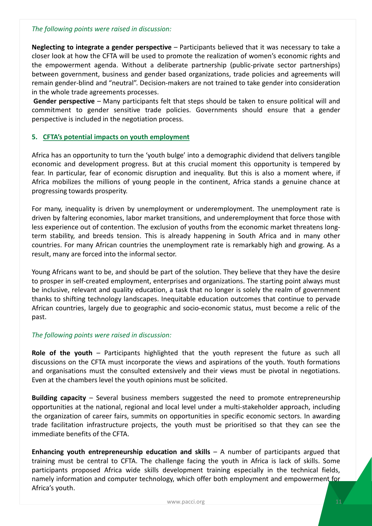#### *The following points were raised in discussion:*

**Neglecting to integrate a gender perspective** – Participants believed that it was necessary to take a closer look at how the CFTA will be used to promote the realization of women's economic rights and the empowerment agenda. Without a deliberate partnership (public-private sector partnerships) between government, business and gender based organizations, trade policies and agreements will remain gender-blind and "neutral". Decision-makers are not trained to take gender into consideration in the whole trade agreements processes.

**Gender perspective** – Many participants felt that steps should be taken to ensure political will and commitment to gender sensitive trade policies. Governments should ensure that a gender perspective is included in the negotiation process.

#### **5. CFTA's potential impacts on youth employment**

Africa has an opportunity to turn the 'youth bulge' into a demographic dividend that delivers tangible economic and development progress. But at this crucial moment this opportunity is tempered by fear. In particular, fear of economic disruption and inequality. But this is also a moment where, if Africa mobilizes the millions of young people in the continent, Africa stands a genuine chance at progressing towards prosperity.

For many, inequality is driven by unemployment or underemployment. The unemployment rate is driven by faltering economies, labor market transitions, and underemployment that force those with less experience out of contention. The exclusion of youths from the economic market threatens longterm stability, and breeds tension. This is already happening in South Africa and in many other countries. For many African countries the unemployment rate is remarkably high and growing. As a result, many are forced into the informal sector.

Young Africans want to be, and should be part of the solution. They believe that they have the desire to prosper in self-created employment, enterprises and organizations. The starting point always must be inclusive, relevant and quality education, a task that no longer is solely the realm of government thanks to shifting technology landscapes. Inequitable education outcomes that continue to pervade African countries, largely due to geographic and socio-economic status, must become a relic of the past.

#### *The following points were raised in discussion:*

**Role of the youth** – Participants highlighted that the youth represent the future as such all discussions on the CFTA must incorporate the views and aspirations of the youth. Youth formations and organisations must the consulted extensively and their views must be pivotal in negotiations. Even at the chambers level the youth opinions must be solicited.

**Building capacity** – Several business members suggested the need to promote entrepreneurship opportunities at the national, regional and local level under a multi-stakeholder approach, including the organization of career fairs, summits on opportunities in specific economic sectors. In awarding trade facilitation infrastructure projects, the youth must be prioritised so that they can see the immediate benefits of the CFTA.

**Enhancing youth entrepreneurship education and skills** – A number of participants argued that training must be central to CFTA. The challenge facing the youth in Africa is lack of skills. Some participants proposed Africa wide skills development training especially in the technical fields, namely information and computer technology, which offer both employment and empowerment for Africa's youth.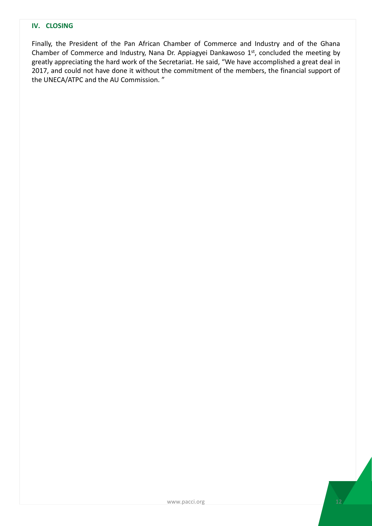#### **IV. CLOSING**

Finally, the President of the Pan African Chamber of Commerce and Industry and of the Ghana Chamber of Commerce and Industry, Nana Dr. Appiagyei Dankawoso 1st, concluded the meeting by greatly appreciating the hard work of the Secretariat. He said, "We have accomplished a great deal in 2017, and could not have done it without the commitment of the members, the financial support of the UNECA/ATPC and the AU Commission. "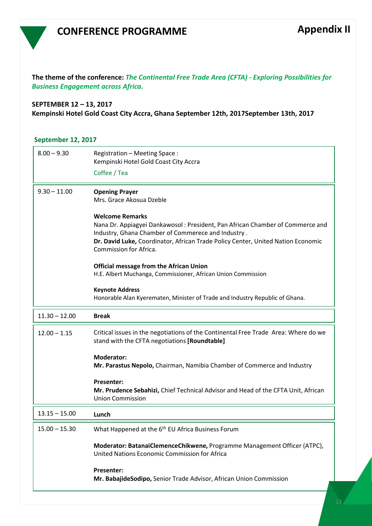### **CONFERENCE PROGRAMME**

**The theme of the conference:** *The Continental Free Trade Area (CFTA) - Exploring Possibilities for Business Engagement across Africa.*

#### **SEPTEMBER 12 – 13, 2017 Kempinski Hotel Gold Coast City Accra, Ghana September 12th, 2017September 13th, 2017**

#### **September 12, 2017**

| $8.00 - 9.30$   | Registration - Meeting Space:<br>Kempinski Hotel Gold Coast City Accra<br>Coffee / Tea                                                                                                                                                                                      |
|-----------------|-----------------------------------------------------------------------------------------------------------------------------------------------------------------------------------------------------------------------------------------------------------------------------|
| $9.30 - 11.00$  | <b>Opening Prayer</b><br>Mrs. Grace Akosua Dzeble                                                                                                                                                                                                                           |
|                 | <b>Welcome Remarks</b><br>Nana Dr. Appiagyei Dankawosol: President, Pan African Chamber of Commerce and<br>Industry, Ghana Chamber of Commerece and Industry.<br>Dr. David Luke, Coordinator, African Trade Policy Center, United Nation Economic<br>Commission for Africa. |
|                 | <b>Official message from the African Union</b><br>H.E. Albert Muchanga, Commissioner, African Union Commission                                                                                                                                                              |
|                 | <b>Keynote Address</b><br>Honorable Alan Kyerematen, Minister of Trade and Industry Republic of Ghana.                                                                                                                                                                      |
| $11.30 - 12.00$ | <b>Break</b>                                                                                                                                                                                                                                                                |
| $12.00 - 1.15$  | Critical issues in the negotiations of the Continental Free Trade Area: Where do we<br>stand with the CFTA negotiations [Roundtable]                                                                                                                                        |
|                 | <b>Moderator:</b><br>Mr. Parastus Nepolo, Chairman, Namibia Chamber of Commerce and Industry                                                                                                                                                                                |
|                 | <b>Presenter:</b><br>Mr. Prudence Sebahizi, Chief Technical Advisor and Head of the CFTA Unit, African<br><b>Union Commission</b>                                                                                                                                           |
| $13.15 - 15.00$ | Lunch                                                                                                                                                                                                                                                                       |
| 15.00 – 15.30   | What Happened at the 6 <sup>th</sup> EU Africa Business Forum                                                                                                                                                                                                               |
|                 | Moderator: BatanaiClemenceChikwene, Programme Management Officer (ATPC),<br>United Nations Economic Commission for Africa                                                                                                                                                   |
|                 | <b>Presenter:</b><br>Mr. BabajideSodipo, Senior Trade Advisor, African Union Commission                                                                                                                                                                                     |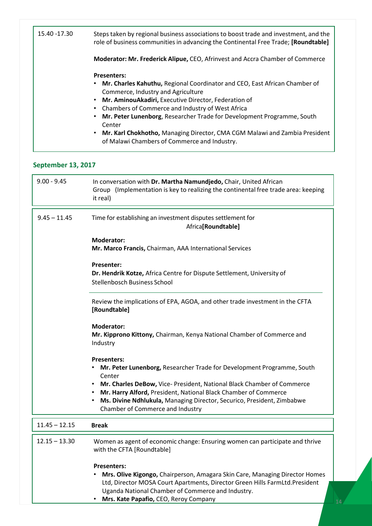| 15.40 -17.30 | Steps taken by regional business associations to boost trade and investment, and the<br>role of business communities in advancing the Continental Free Trade; [Roundtable] |
|--------------|----------------------------------------------------------------------------------------------------------------------------------------------------------------------------|
|              | Moderator: Mr. Frederick Alipue, CEO, Afrinvest and Accra Chamber of Commerce                                                                                              |
|              | <b>Presenters:</b>                                                                                                                                                         |
|              | • Mr. Charles Kahuthu, Regional Coordinator and CEO, East African Chamber of                                                                                               |
|              | Commerce, Industry and Agriculture                                                                                                                                         |
|              | • Mr. AminouAkadiri, Executive Director, Federation of                                                                                                                     |
|              | Chambers of Commerce and Industry of West Africa<br>$\bullet$                                                                                                              |
|              | Mr. Peter Lunenborg, Researcher Trade for Development Programme, South<br>$\bullet$<br>Center                                                                              |
|              | . Mr. Karl Chokhotho, Managing Director, CMA CGM Malawi and Zambia President<br>of Malawi Chambers of Commerce and Industry.                                               |

#### **September 13, 2017**

| $9.00 - 9.45$   | In conversation with Dr. Martha Namundjedo, Chair, United African<br>Group (Implementation is key to realizing the continental free trade area: keeping<br>it real)                                                                                                                                                                                                    |
|-----------------|------------------------------------------------------------------------------------------------------------------------------------------------------------------------------------------------------------------------------------------------------------------------------------------------------------------------------------------------------------------------|
| $9.45 - 11.45$  | Time for establishing an investment disputes settlement for<br>Africa[Roundtable]                                                                                                                                                                                                                                                                                      |
|                 | <b>Moderator:</b><br>Mr. Marco Francis, Chairman, AAA International Services                                                                                                                                                                                                                                                                                           |
|                 | <b>Presenter:</b><br>Dr. Hendrik Kotze, Africa Centre for Dispute Settlement, University of<br>Stellenbosch Business School                                                                                                                                                                                                                                            |
|                 | Review the implications of EPA, AGOA, and other trade investment in the CFTA<br>[Roundtable]                                                                                                                                                                                                                                                                           |
|                 | <b>Moderator:</b><br>Mr. Kipprono Kittony, Chairman, Kenya National Chamber of Commerce and<br>Industry                                                                                                                                                                                                                                                                |
|                 | <b>Presenters:</b><br>Mr. Peter Lunenborg, Researcher Trade for Development Programme, South<br>Center<br>Mr. Charles DeBow, Vice- President, National Black Chamber of Commerce<br>Mr. Harry Alford, President, National Black Chamber of Commerce<br>Ms. Divine Ndhlukula, Managing Director, Securico, President, Zimbabwe<br>٠<br>Chamber of Commerce and Industry |
| $11.45 - 12.15$ | <b>Break</b>                                                                                                                                                                                                                                                                                                                                                           |
| $12.15 - 13.30$ | Women as agent of economic change: Ensuring women can participate and thrive<br>with the CFTA [Roundtable]                                                                                                                                                                                                                                                             |
|                 | <b>Presenters:</b><br>Mrs. Olive Kigongo, Chairperson, Amagara Skin Care, Managing Director Homes<br>Ltd, Director MOSA Court Apartments, Director Green Hills FarmLtd. President<br>Uganda National Chamber of Commerce and Industry.                                                                                                                                 |

• **Mrs. Kate Papafio,** CEO, Reroy Company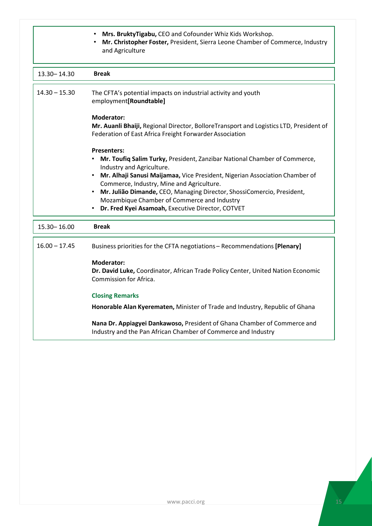|                 | Mrs. BruktyTigabu, CEO and Cofounder Whiz Kids Workshop.<br>Mr. Christopher Foster, President, Sierra Leone Chamber of Commerce, Industry<br>and Agriculture                                                                                                                                                                                                                                                                           |
|-----------------|----------------------------------------------------------------------------------------------------------------------------------------------------------------------------------------------------------------------------------------------------------------------------------------------------------------------------------------------------------------------------------------------------------------------------------------|
| 13.30 - 14.30   | <b>Break</b>                                                                                                                                                                                                                                                                                                                                                                                                                           |
| $14.30 - 15.30$ | The CFTA's potential impacts on industrial activity and youth<br>employment[Roundtable]                                                                                                                                                                                                                                                                                                                                                |
|                 | <b>Moderator:</b><br>Mr. Auanli Bhaiji, Regional Director, BolloreTransport and Logistics LTD, President of<br>Federation of East Africa Freight Forwarder Association                                                                                                                                                                                                                                                                 |
|                 | <b>Presenters:</b><br>Mr. Toufiq Salim Turky, President, Zanzibar National Chamber of Commerce,<br>Industry and Agriculture.<br>Mr. Alhaji Sanusi Maijamaa, Vice President, Nigerian Association Chamber of<br>Commerce, Industry, Mine and Agriculture.<br>Mr. Julião Dimande, CEO, Managing Director, ShossiComercio, President,<br>Mozambique Chamber of Commerce and Industry<br>Dr. Fred Kyei Asamoah, Executive Director, COTVET |
| 15.30 - 16.00   | <b>Break</b>                                                                                                                                                                                                                                                                                                                                                                                                                           |
| $16.00 - 17.45$ | Business priorities for the CFTA negotiations - Recommendations [Plenary]                                                                                                                                                                                                                                                                                                                                                              |
|                 | <b>Moderator:</b><br>Dr. David Luke, Coordinator, African Trade Policy Center, United Nation Economic<br>Commission for Africa.                                                                                                                                                                                                                                                                                                        |
|                 | <b>Closing Remarks</b>                                                                                                                                                                                                                                                                                                                                                                                                                 |
|                 | Honorable Alan Kyerematen, Minister of Trade and Industry, Republic of Ghana                                                                                                                                                                                                                                                                                                                                                           |
|                 | Nana Dr. Appiagyei Dankawoso, President of Ghana Chamber of Commerce and<br>Industry and the Pan African Chamber of Commerce and Industry                                                                                                                                                                                                                                                                                              |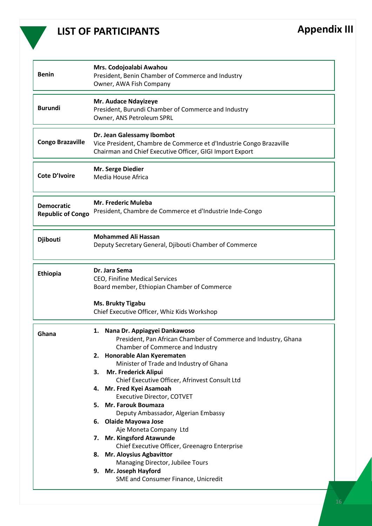

## **LIST OF PARTICIPANTS Appendix III**

| <b>Benin</b>                                  | Mrs. Codojoalabi Awahou<br>President, Benin Chamber of Commerce and Industry<br>Owner, AWA Fish Company                                                                                                                                                                                                                                                                                                                                                                                                                                                                                                                                                                                              |
|-----------------------------------------------|------------------------------------------------------------------------------------------------------------------------------------------------------------------------------------------------------------------------------------------------------------------------------------------------------------------------------------------------------------------------------------------------------------------------------------------------------------------------------------------------------------------------------------------------------------------------------------------------------------------------------------------------------------------------------------------------------|
| <b>Burundi</b>                                | Mr. Audace Ndayizeye<br>President, Burundi Chamber of Commerce and Industry<br>Owner, ANS Petroleum SPRL                                                                                                                                                                                                                                                                                                                                                                                                                                                                                                                                                                                             |
| <b>Congo Brazaville</b>                       | Dr. Jean Galessamy Ibombot<br>Vice President, Chambre de Commerce et d'Industrie Congo Brazaville<br>Chairman and Chief Executive Officer, GIGI Import Export                                                                                                                                                                                                                                                                                                                                                                                                                                                                                                                                        |
| <b>Cote D'Ivoire</b>                          | Mr. Serge Diedier<br>Media House Africa                                                                                                                                                                                                                                                                                                                                                                                                                                                                                                                                                                                                                                                              |
| <b>Democratic</b><br><b>Republic of Congo</b> | <b>Mr. Frederic Muleba</b><br>President, Chambre de Commerce et d'Industrie Inde-Congo                                                                                                                                                                                                                                                                                                                                                                                                                                                                                                                                                                                                               |
| <b>Djibouti</b>                               | <b>Mohammed Ali Hassan</b><br>Deputy Secretary General, Djibouti Chamber of Commerce                                                                                                                                                                                                                                                                                                                                                                                                                                                                                                                                                                                                                 |
| Ethiopia                                      | Dr. Jara Sema<br>CEO, Finifine Medical Services<br>Board member, Ethiopian Chamber of Commerce<br><b>Ms. Brukty Tigabu</b><br>Chief Executive Officer, Whiz Kids Workshop                                                                                                                                                                                                                                                                                                                                                                                                                                                                                                                            |
| Ghana                                         | 1. Nana Dr. Appiagyei Dankawoso<br>President, Pan African Chamber of Commerce and Industry, Ghana<br>Chamber of Commerce and Industry<br>2. Honorable Alan Kyerematen<br>Minister of Trade and Industry of Ghana<br>Mr. Frederick Alipui<br>3.<br>Chief Executive Officer, Afrinvest Consult Ltd<br>4. Mr. Fred Kyei Asamoah<br><b>Executive Director, COTVET</b><br>5. Mr. Farouk Boumaza<br>Deputy Ambassador, Algerian Embassy<br>6. Olaide Mayowa Jose<br>Aje Moneta Company Ltd<br>7. Mr. Kingsford Atawunde<br>Chief Executive Officer, Greenagro Enterprise<br>8. Mr. Aloysius Agbavittor<br>Managing Director, Jubilee Tours<br>9. Mr. Joseph Hayford<br>SME and Consumer Finance, Unicredit |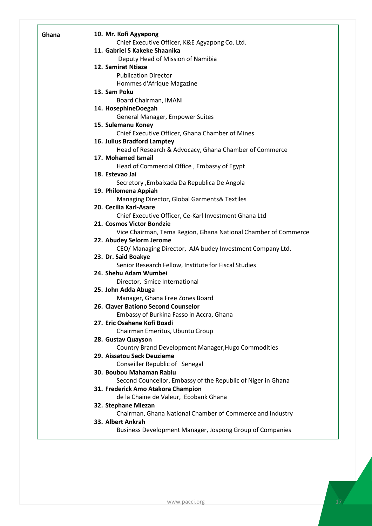| Ghana | 10. Mr. Kofi Agyapong                                                        |
|-------|------------------------------------------------------------------------------|
|       | Chief Executive Officer, K&E Agyapong Co. Ltd.                               |
|       | 11. Gabriel S Kakeke Shaanika                                                |
|       | Deputy Head of Mission of Namibia                                            |
|       | 12. Samirat Ntiaze                                                           |
|       | <b>Publication Director</b>                                                  |
|       | Hommes d'Afrique Magazine                                                    |
|       | 13. Sam Poku                                                                 |
|       | Board Chairman, IMANI                                                        |
|       | 14. HosephineDoegah                                                          |
|       | General Manager, Empower Suites                                              |
|       | 15. Sulemanu Koney                                                           |
|       | Chief Executive Officer, Ghana Chamber of Mines                              |
|       | 16. Julius Bradford Lamptey                                                  |
|       | Head of Research & Advocacy, Ghana Chamber of Commerce<br>17. Mohamed Ismail |
|       | Head of Commercial Office, Embassy of Egypt                                  |
|       | 18. Estevao Jai                                                              |
|       | Secretory , Embaixada Da Republica De Angola                                 |
|       | 19. Philomena Appiah                                                         |
|       | Managing Director, Global Garments& Textiles                                 |
|       | 20. Cecilia Karl-Asare                                                       |
|       | Chief Executive Officer, Ce-Karl Investment Ghana Ltd                        |
|       | 21. Cosmos Victor Bondzie                                                    |
|       | Vice Chairman, Tema Region, Ghana National Chamber of Commerce               |
|       | 22. Abudey Selorm Jerome                                                     |
|       | CEO/ Managing Director, AJA budey Investment Company Ltd.                    |
|       | 23. Dr. Said Boakye                                                          |
|       | Senior Research Fellow, Institute for Fiscal Studies                         |
|       | 24. Shehu Adam Wumbei                                                        |
|       | Director, Smice International                                                |
|       | 25. John Adda Abuga                                                          |
|       | Manager, Ghana Free Zones Board                                              |
|       | 26. Claver Bationo Second Counselor                                          |
|       | Embassy of Burkina Fasso in Accra, Ghana                                     |
|       | 27. Eric Osahene Kofi Boadi                                                  |
|       | Chairman Emeritus, Ubuntu Group                                              |
|       | 28. Gustav Quayson                                                           |
|       | Country Brand Development Manager, Hugo Commodities                          |
|       | 29. Aissatou Seck Deuzieme                                                   |
|       | Conseiller Republic of Senegal                                               |
|       | 30. Boubou Mahaman Rabiu                                                     |
|       | Second Councellor, Embassy of the Republic of Niger in Ghana                 |
|       | 31. Frederick Amo Atakora Champion                                           |
|       | de la Chaine de Valeur, Ecobank Ghana                                        |
|       | 32. Stephane Miezan                                                          |
|       | Chairman, Ghana National Chamber of Commerce and Industry                    |
|       | 33. Albert Ankrah                                                            |
|       | Business Development Manager, Jospong Group of Companies                     |
|       |                                                                              |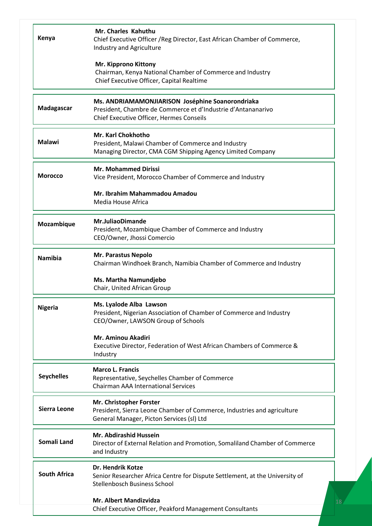| Kenya               | Mr. Charles Kahuthu<br>Chief Executive Officer / Reg Director, East African Chamber of Commerce,<br>Industry and Agriculture                                 |
|---------------------|--------------------------------------------------------------------------------------------------------------------------------------------------------------|
|                     | Mr. Kipprono Kittony<br>Chairman, Kenya National Chamber of Commerce and Industry<br>Chief Executive Officer, Capital Realtime                               |
| Madagascar          | Ms. ANDRIAMAMONJIARISON Joséphine Soanorondriaka<br>President, Chambre de Commerce et d'Industrie d'Antananarivo<br>Chief Executive Officer, Hermes Conseils |
| <b>Malawi</b>       | <b>Mr. Karl Chokhotho</b><br>President, Malawi Chamber of Commerce and Industry<br>Managing Director, CMA CGM Shipping Agency Limited Company                |
| <b>Morocco</b>      | <b>Mr. Mohammed Dirissi</b><br>Vice President, Morocco Chamber of Commerce and Industry                                                                      |
|                     | Mr. Ibrahim Mahammadou Amadou<br>Media House Africa                                                                                                          |
| Mozambique          | <b>Mr.JuliaoDimande</b><br>President, Mozambique Chamber of Commerce and Industry<br>CEO/Owner, Jhossi Comercio                                              |
| <b>Namibia</b>      | Mr. Parastus Nepolo<br>Chairman Windhoek Branch, Namibia Chamber of Commerce and Industry                                                                    |
|                     | Ms. Martha Namundjebo<br>Chair, United African Group                                                                                                         |
| <b>Nigeria</b>      | Ms. Lyalode Alba Lawson<br>President, Nigerian Association of Chamber of Commerce and Industry<br>CEO/Owner, LAWSON Group of Schools                         |
|                     | <b>Mr. Aminou Akadiri</b><br>Executive Director, Federation of West African Chambers of Commerce &<br>Industry                                               |
| <b>Seychelles</b>   | <b>Marco L. Francis</b><br>Representative, Seychelles Chamber of Commerce<br><b>Chairman AAA International Services</b>                                      |
| Sierra Leone        | Mr. Christopher Forster<br>President, Sierra Leone Chamber of Commerce, Industries and agriculture<br>General Manager, Picton Services (sl) Ltd              |
| Somali Land         | Mr. Abdirashid Hussein<br>Director of External Relation and Promotion, Somaliland Chamber of Commerce<br>and Industry                                        |
| <b>South Africa</b> | Dr. Hendrik Kotze<br>Senior Researcher Africa Centre for Dispute Settlement, at the University of<br>Stellenbosch Business School                            |
|                     | <b>Mr. Albert Mandizvidza</b><br>Chief Executive Officer, Peakford Management Consultants                                                                    |